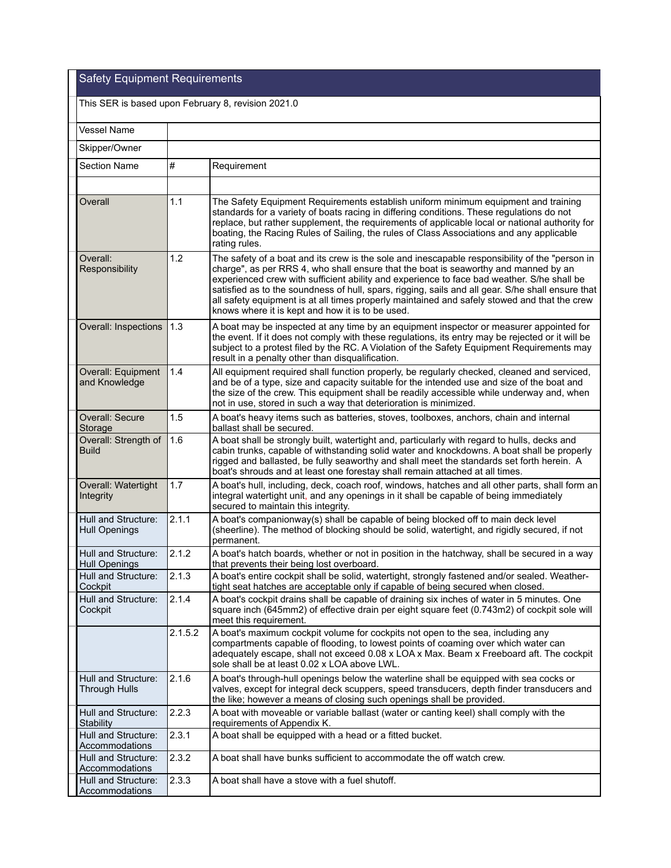## Safety Equipment Requirements

| This SER is based upon February 8, revision 2021.0 |         |                                                                                                                                                                                                                                                                                                                                                                                                                                                                                                                                              |  |  |  |
|----------------------------------------------------|---------|----------------------------------------------------------------------------------------------------------------------------------------------------------------------------------------------------------------------------------------------------------------------------------------------------------------------------------------------------------------------------------------------------------------------------------------------------------------------------------------------------------------------------------------------|--|--|--|
| <b>Vessel Name</b>                                 |         |                                                                                                                                                                                                                                                                                                                                                                                                                                                                                                                                              |  |  |  |
| Skipper/Owner                                      |         |                                                                                                                                                                                                                                                                                                                                                                                                                                                                                                                                              |  |  |  |
| Section Name                                       | #       | Requirement                                                                                                                                                                                                                                                                                                                                                                                                                                                                                                                                  |  |  |  |
|                                                    |         |                                                                                                                                                                                                                                                                                                                                                                                                                                                                                                                                              |  |  |  |
| Overall                                            | 1.1     | The Safety Equipment Requirements establish uniform minimum equipment and training<br>standards for a variety of boats racing in differing conditions. These regulations do not<br>replace, but rather supplement, the requirements of applicable local or national authority for<br>boating, the Racing Rules of Sailing, the rules of Class Associations and any applicable<br>rating rules.                                                                                                                                               |  |  |  |
| Overall:<br>Responsibility                         | 1.2     | The safety of a boat and its crew is the sole and inescapable responsibility of the "person in<br>charge", as per RRS 4, who shall ensure that the boat is seaworthy and manned by an<br>experienced crew with sufficient ability and experience to face bad weather. S/he shall be<br>satisfied as to the soundness of hull, spars, rigging, sails and all gear. S/he shall ensure that<br>all safety equipment is at all times properly maintained and safely stowed and that the crew<br>knows where it is kept and how it is to be used. |  |  |  |
| <b>Overall: Inspections</b>                        | 1.3     | A boat may be inspected at any time by an equipment inspector or measurer appointed for<br>the event. If it does not comply with these regulations, its entry may be rejected or it will be<br>subject to a protest filed by the RC. A Violation of the Safety Equipment Requirements may<br>result in a penalty other than disqualification.                                                                                                                                                                                                |  |  |  |
| Overall: Equipment<br>and Knowledge                | 1.4     | All equipment required shall function properly, be regularly checked, cleaned and serviced,<br>and be of a type, size and capacity suitable for the intended use and size of the boat and<br>the size of the crew. This equipment shall be readily accessible while underway and, when<br>not in use, stored in such a way that deterioration is minimized.                                                                                                                                                                                  |  |  |  |
| Overall: Secure<br>Storage                         | 1.5     | A boat's heavy items such as batteries, stoves, toolboxes, anchors, chain and internal<br>ballast shall be secured.                                                                                                                                                                                                                                                                                                                                                                                                                          |  |  |  |
| Overall: Strength of<br><b>Build</b>               | 1.6     | A boat shall be strongly built, watertight and, particularly with regard to hulls, decks and<br>cabin trunks, capable of withstanding solid water and knockdowns. A boat shall be properly<br>rigged and ballasted, be fully seaworthy and shall meet the standards set forth herein. A<br>boat's shrouds and at least one forestay shall remain attached at all times.                                                                                                                                                                      |  |  |  |
| Overall: Watertight<br>Integrity                   | 1.7     | A boat's hull, including, deck, coach roof, windows, hatches and all other parts, shall form an<br>integral watertight unit, and any openings in it shall be capable of being immediately<br>secured to maintain this integrity.                                                                                                                                                                                                                                                                                                             |  |  |  |
| Hull and Structure:<br><b>Hull Openings</b>        | 2.1.1   | A boat's companionway(s) shall be capable of being blocked off to main deck level<br>(sheerline). The method of blocking should be solid, watertight, and rigidly secured, if not<br>permanent.                                                                                                                                                                                                                                                                                                                                              |  |  |  |
| Hull and Structure:<br><b>Hull Openings</b>        | 2.1.2   | A boat's hatch boards, whether or not in position in the hatchway, shall be secured in a way<br>that prevents their being lost overboard.                                                                                                                                                                                                                                                                                                                                                                                                    |  |  |  |
| Hull and Structure:<br>Cockpit                     | 2.1.3   | A boat's entire cockpit shall be solid, watertight, strongly fastened and/or sealed. Weather-<br>tight seat hatches are acceptable only if capable of being secured when closed.                                                                                                                                                                                                                                                                                                                                                             |  |  |  |
| Hull and Structure:<br>Cockpit                     | 2.1.4   | A boat's cockpit drains shall be capable of draining six inches of water in 5 minutes. One<br>square inch (645mm2) of effective drain per eight square feet (0.743m2) of cockpit sole will<br>meet this requirement.                                                                                                                                                                                                                                                                                                                         |  |  |  |
|                                                    | 2.1.5.2 | A boat's maximum cockpit volume for cockpits not open to the sea, including any<br>compartments capable of flooding, to lowest points of coaming over which water can<br>adequately escape, shall not exceed 0.08 x LOA x Max. Beam x Freeboard aft. The cockpit<br>sole shall be at least 0.02 x LOA above LWL.                                                                                                                                                                                                                             |  |  |  |
| Hull and Structure:<br><b>Through Hulls</b>        | 2.1.6   | A boat's through-hull openings below the waterline shall be equipped with sea cocks or<br>valves, except for integral deck scuppers, speed transducers, depth finder transducers and<br>the like; however a means of closing such openings shall be provided.                                                                                                                                                                                                                                                                                |  |  |  |
| Hull and Structure:<br>Stability                   | 2.2.3   | A boat with moveable or variable ballast (water or canting keel) shall comply with the<br>requirements of Appendix K.                                                                                                                                                                                                                                                                                                                                                                                                                        |  |  |  |
| Hull and Structure:<br>Accommodations              | 2.3.1   | A boat shall be equipped with a head or a fitted bucket.                                                                                                                                                                                                                                                                                                                                                                                                                                                                                     |  |  |  |
| Hull and Structure:<br>Accommodations              | 2.3.2   | A boat shall have bunks sufficient to accommodate the off watch crew.                                                                                                                                                                                                                                                                                                                                                                                                                                                                        |  |  |  |
| Hull and Structure:<br>Accommodations              | 2.3.3   | A boat shall have a stove with a fuel shutoff.                                                                                                                                                                                                                                                                                                                                                                                                                                                                                               |  |  |  |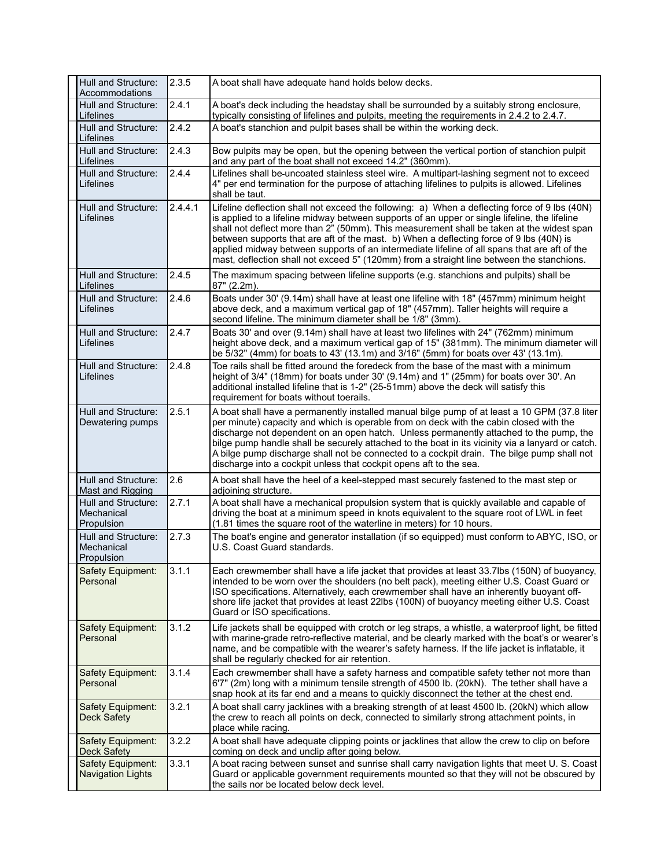| Hull and Structure:<br>Accommodations           | 2.3.5   | A boat shall have adequate hand holds below decks.                                                                                                                                                                                                                                                                                                                                                                                                                                                                                                                                  |
|-------------------------------------------------|---------|-------------------------------------------------------------------------------------------------------------------------------------------------------------------------------------------------------------------------------------------------------------------------------------------------------------------------------------------------------------------------------------------------------------------------------------------------------------------------------------------------------------------------------------------------------------------------------------|
| Hull and Structure:<br>Lifelines                | 2.4.1   | A boat's deck including the headstay shall be surrounded by a suitably strong enclosure,<br>typically consisting of lifelines and pulpits, meeting the requirements in 2.4.2 to 2.4.7.                                                                                                                                                                                                                                                                                                                                                                                              |
| Hull and Structure:<br>Lifelines                | 2.4.2   | A boat's stanchion and pulpit bases shall be within the working deck.                                                                                                                                                                                                                                                                                                                                                                                                                                                                                                               |
| Hull and Structure:<br>Lifelines                | 2.4.3   | Bow pulpits may be open, but the opening between the vertical portion of stanchion pulpit<br>and any part of the boat shall not exceed 14.2" (360mm).                                                                                                                                                                                                                                                                                                                                                                                                                               |
| Hull and Structure:<br>Lifelines                | 2.4.4   | Lifelines shall be-uncoated stainless steel wire. A multipart-lashing segment not to exceed<br>4" per end termination for the purpose of attaching lifelines to pulpits is allowed. Lifelines<br>shall be taut.                                                                                                                                                                                                                                                                                                                                                                     |
| Hull and Structure:<br>Lifelines                | 2.4.4.1 | Lifeline deflection shall not exceed the following: a) When a deflecting force of 9 lbs (40N)<br>is applied to a lifeline midway between supports of an upper or single lifeline, the lifeline<br>shall not deflect more than 2" (50mm). This measurement shall be taken at the widest span<br>between supports that are aft of the mast. b) When a deflecting force of 9 lbs (40N) is<br>applied midway between supports of an intermediate lifeline of all spans that are aft of the<br>mast, deflection shall not exceed 5" (120mm) from a straight line between the stanchions. |
| Hull and Structure:<br>Lifelines                | 2.4.5   | The maximum spacing between lifeline supports (e.g. stanchions and pulpits) shall be<br>87" (2.2m).                                                                                                                                                                                                                                                                                                                                                                                                                                                                                 |
| Hull and Structure:<br>Lifelines                | 2.4.6   | Boats under 30' (9.14m) shall have at least one lifeline with 18" (457mm) minimum height<br>above deck, and a maximum vertical gap of 18" (457mm). Taller heights will require a<br>second lifeline. The minimum diameter shall be 1/8" (3mm).                                                                                                                                                                                                                                                                                                                                      |
| Hull and Structure:<br>Lifelines                | 2.4.7   | Boats 30' and over (9.14m) shall have at least two lifelines with 24" (762mm) minimum<br>height above deck, and a maximum vertical gap of 15" (381mm). The minimum diameter will<br>be 5/32" (4mm) for boats to 43' (13.1m) and 3/16" (5mm) for boats over 43' (13.1m).                                                                                                                                                                                                                                                                                                             |
| Hull and Structure:<br>Lifelines                | 2.4.8   | Toe rails shall be fitted around the foredeck from the base of the mast with a minimum<br>height of 3/4" (18mm) for boats under 30' (9.14m) and 1" (25mm) for boats over 30'. An<br>additional installed lifeline that is 1-2" (25-51mm) above the deck will satisfy this<br>requirement for boats without toerails.                                                                                                                                                                                                                                                                |
| Hull and Structure:<br>Dewatering pumps         | 2.5.1   | A boat shall have a permanently installed manual bilge pump of at least a 10 GPM (37.8 liter<br>per minute) capacity and which is operable from on deck with the cabin closed with the<br>discharge not dependent on an open hatch. Unless permanently attached to the pump, the<br>bilge pump handle shall be securely attached to the boat in its vicinity via a lanyard or catch.<br>A bilge pump discharge shall not be connected to a cockpit drain. The bilge pump shall not<br>discharge into a cockpit unless that cockpit opens aft to the sea.                            |
| Hull and Structure:<br><b>Mast and Rigging</b>  | 2.6     | A boat shall have the heel of a keel-stepped mast securely fastened to the mast step or<br>adjoining structure.                                                                                                                                                                                                                                                                                                                                                                                                                                                                     |
| Hull and Structure:<br>Mechanical<br>Propulsion | 2.7.1   | A boat shall have a mechanical propulsion system that is quickly available and capable of<br>driving the boat at a minimum speed in knots equivalent to the square root of LWL in feet<br>(1.81 times the square root of the waterline in meters) for 10 hours.                                                                                                                                                                                                                                                                                                                     |
| Hull and Structure:<br>Mechanical<br>Propulsion | 2.7.3   | The boat's engine and generator installation (if so equipped) must conform to ABYC, ISO, or<br>U.S. Coast Guard standards.                                                                                                                                                                                                                                                                                                                                                                                                                                                          |
| Safety Equipment:<br>Personal                   | 3.1.1   | Each crewmember shall have a life jacket that provides at least 33.7lbs (150N) of buoyancy,<br>intended to be worn over the shoulders (no belt pack), meeting either U.S. Coast Guard or<br>ISO specifications. Alternatively, each crewmember shall have an inherently buoyant off-<br>shore life jacket that provides at least 22lbs (100N) of buoyancy meeting either U.S. Coast<br>Guard or ISO specifications.                                                                                                                                                                 |
| Safety Equipment:<br>Personal                   | 3.1.2   | Life jackets shall be equipped with crotch or leg straps, a whistle, a waterproof light, be fitted<br>with marine-grade retro-reflective material, and be clearly marked with the boat's or wearer's<br>name, and be compatible with the wearer's safety harness. If the life jacket is inflatable, it<br>shall be regularly checked for air retention.                                                                                                                                                                                                                             |
| Safety Equipment:<br>Personal                   | 3.1.4   | Each crewmember shall have a safety harness and compatible safety tether not more than<br>6'7" (2m) long with a minimum tensile strength of 4500 lb. (20kN). The tether shall have a<br>snap hook at its far end and a means to quickly disconnect the tether at the chest end.                                                                                                                                                                                                                                                                                                     |
| Safety Equipment:<br><b>Deck Safety</b>         | 3.2.1   | A boat shall carry jacklines with a breaking strength of at least 4500 lb. (20kN) which allow<br>the crew to reach all points on deck, connected to similarly strong attachment points, in<br>place while racing.                                                                                                                                                                                                                                                                                                                                                                   |
| Safety Equipment:<br><b>Deck Safety</b>         | 3.2.2   | A boat shall have adequate clipping points or jacklines that allow the crew to clip on before<br>coming on deck and unclip after going below.                                                                                                                                                                                                                                                                                                                                                                                                                                       |
| Safety Equipment:<br><b>Navigation Lights</b>   | 3.3.1   | A boat racing between sunset and sunrise shall carry navigation lights that meet U. S. Coast<br>Guard or applicable government requirements mounted so that they will not be obscured by<br>the sails nor be located below deck level.                                                                                                                                                                                                                                                                                                                                              |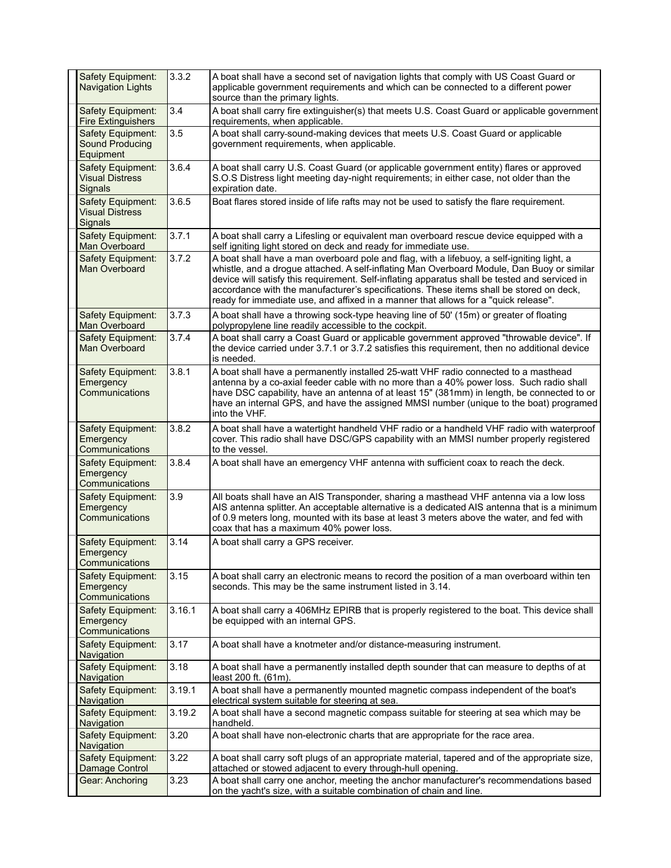| <b>Safety Equipment:</b><br><b>Navigation Lights</b>     | 3.3.2  | A boat shall have a second set of navigation lights that comply with US Coast Guard or<br>applicable government requirements and which can be connected to a different power<br>source than the primary lights.                                                                                                                                                                                                                                                              |
|----------------------------------------------------------|--------|------------------------------------------------------------------------------------------------------------------------------------------------------------------------------------------------------------------------------------------------------------------------------------------------------------------------------------------------------------------------------------------------------------------------------------------------------------------------------|
| Safety Equipment:<br><b>Fire Extinguishers</b>           | 3.4    | A boat shall carry fire extinguisher(s) that meets U.S. Coast Guard or applicable government<br>requirements, when applicable.                                                                                                                                                                                                                                                                                                                                               |
| Safety Equipment:<br><b>Sound Producing</b><br>Equipment | 3.5    | A boat shall carry-sound-making devices that meets U.S. Coast Guard or applicable<br>government requirements, when applicable.                                                                                                                                                                                                                                                                                                                                               |
| Safety Equipment:<br><b>Visual Distress</b><br>Signals   | 3.6.4  | A boat shall carry U.S. Coast Guard (or applicable government entity) flares or approved<br>S.O.S Distress light meeting day-night requirements; in either case, not older than the<br>expiration date.                                                                                                                                                                                                                                                                      |
| Safety Equipment:<br>Visual Distress<br>Signals          | 3.6.5  | Boat flares stored inside of life rafts may not be used to satisfy the flare requirement.                                                                                                                                                                                                                                                                                                                                                                                    |
| Safety Equipment:<br>Man Overboard                       | 3.7.1  | A boat shall carry a Lifesling or equivalent man overboard rescue device equipped with a<br>self igniting light stored on deck and ready for immediate use.                                                                                                                                                                                                                                                                                                                  |
| Safety Equipment:<br>Man Overboard                       | 3.7.2  | A boat shall have a man overboard pole and flag, with a lifebuoy, a self-igniting light, a<br>whistle, and a drogue attached. A self-inflating Man Overboard Module, Dan Buoy or similar<br>device will satisfy this requirement. Self-inflating apparatus shall be tested and serviced in<br>accordance with the manufacturer's specifications. These items shall be stored on deck,<br>ready for immediate use, and affixed in a manner that allows for a "quick release". |
| Safety Equipment:<br>Man Overboard                       | 3.7.3  | A boat shall have a throwing sock-type heaving line of 50' (15m) or greater of floating<br>polypropylene line readily accessible to the cockpit.                                                                                                                                                                                                                                                                                                                             |
| Safety Equipment:<br>Man Overboard                       | 3.7.4  | A boat shall carry a Coast Guard or applicable government approved "throwable device". If<br>the device carried under 3.7.1 or 3.7.2 satisfies this requirement, then no additional device<br>is needed.                                                                                                                                                                                                                                                                     |
| Safety Equipment:<br>Emergency<br>Communications         | 3.8.1  | A boat shall have a permanently installed 25-watt VHF radio connected to a masthead<br>antenna by a co-axial feeder cable with no more than a 40% power loss. Such radio shall<br>have DSC capability, have an antenna of at least 15" (381mm) in length, be connected to or<br>have an internal GPS, and have the assigned MMSI number (unique to the boat) programed<br>into the VHF.                                                                                      |
| Safety Equipment:<br>Emergency<br>Communications         | 3.8.2  | A boat shall have a watertight handheld VHF radio or a handheld VHF radio with waterproof<br>cover. This radio shall have DSC/GPS capability with an MMSI number properly registered<br>to the vessel.                                                                                                                                                                                                                                                                       |
| Safety Equipment:<br>Emergency<br>Communications         | 3.8.4  | A boat shall have an emergency VHF antenna with sufficient coax to reach the deck.                                                                                                                                                                                                                                                                                                                                                                                           |
| Safety Equipment:<br>Emergency<br>Communications         | 3.9    | All boats shall have an AIS Transponder, sharing a masthead VHF antenna via a low loss<br>AIS antenna splitter. An acceptable alternative is a dedicated AIS antenna that is a minimum<br>of 0.9 meters long, mounted with its base at least 3 meters above the water, and fed with<br>coax that has a maximum 40% power loss.                                                                                                                                               |
| Safety Equipment:<br>Emergency<br>Communications         | 3.14   | A boat shall carry a GPS receiver.                                                                                                                                                                                                                                                                                                                                                                                                                                           |
| Safety Equipment:<br>Emergency<br>Communications         | 3.15   | A boat shall carry an electronic means to record the position of a man overboard within ten<br>seconds. This may be the same instrument listed in 3.14.                                                                                                                                                                                                                                                                                                                      |
| Safety Equipment:<br>Emergency<br>Communications         | 3.16.1 | A boat shall carry a 406MHz EPIRB that is properly registered to the boat. This device shall<br>be equipped with an internal GPS.                                                                                                                                                                                                                                                                                                                                            |
| Safety Equipment:<br>Navigation                          | 3.17   | A boat shall have a knotmeter and/or distance-measuring instrument.                                                                                                                                                                                                                                                                                                                                                                                                          |
| Safety Equipment:<br>Navigation                          | 3.18   | A boat shall have a permanently installed depth sounder that can measure to depths of at<br>least 200 ft. (61m).                                                                                                                                                                                                                                                                                                                                                             |
| Safety Equipment:<br>Navigation                          | 3.19.1 | A boat shall have a permanently mounted magnetic compass independent of the boat's<br>electrical system suitable for steering at sea.                                                                                                                                                                                                                                                                                                                                        |
| Safety Equipment:<br>Navigation                          | 3.19.2 | A boat shall have a second magnetic compass suitable for steering at sea which may be<br>handheld.                                                                                                                                                                                                                                                                                                                                                                           |
| Safety Equipment:<br>Navigation                          | 3.20   | A boat shall have non-electronic charts that are appropriate for the race area.                                                                                                                                                                                                                                                                                                                                                                                              |
| Safety Equipment:<br>Damage Control                      | 3.22   | A boat shall carry soft plugs of an appropriate material, tapered and of the appropriate size,<br>attached or stowed adjacent to every through-hull opening.                                                                                                                                                                                                                                                                                                                 |
| <b>Gear: Anchoring</b>                                   | 3.23   | A boat shall carry one anchor, meeting the anchor manufacturer's recommendations based<br>on the yacht's size, with a suitable combination of chain and line.                                                                                                                                                                                                                                                                                                                |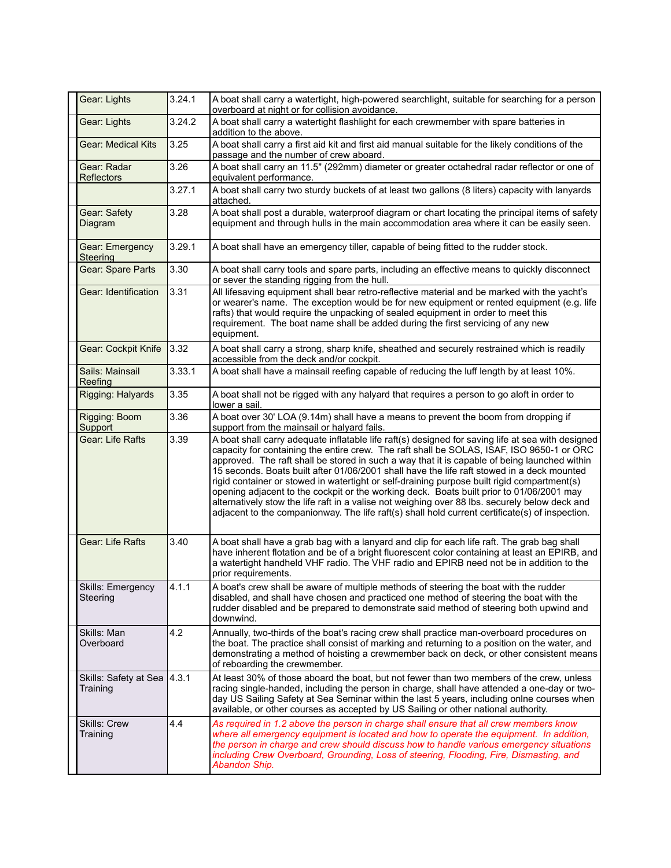| Gear: Lights                              | 3.24.1 | A boat shall carry a watertight, high-powered searchlight, suitable for searching for a person<br>overboard at night or for collision avoidance.                                                                                                                                                                                                                                                                                                                                                                                                                                                                                                                                                                                                                                             |
|-------------------------------------------|--------|----------------------------------------------------------------------------------------------------------------------------------------------------------------------------------------------------------------------------------------------------------------------------------------------------------------------------------------------------------------------------------------------------------------------------------------------------------------------------------------------------------------------------------------------------------------------------------------------------------------------------------------------------------------------------------------------------------------------------------------------------------------------------------------------|
| Gear: Lights                              | 3.24.2 | A boat shall carry a watertight flashlight for each crewmember with spare batteries in<br>addition to the above.                                                                                                                                                                                                                                                                                                                                                                                                                                                                                                                                                                                                                                                                             |
| Gear: Medical Kits                        | 3.25   | A boat shall carry a first aid kit and first aid manual suitable for the likely conditions of the<br>passage and the number of crew aboard.                                                                                                                                                                                                                                                                                                                                                                                                                                                                                                                                                                                                                                                  |
| Gear: Radar<br><b>Reflectors</b>          | 3.26   | A boat shall carry an 11.5" (292mm) diameter or greater octahedral radar reflector or one of<br>equivalent performance.                                                                                                                                                                                                                                                                                                                                                                                                                                                                                                                                                                                                                                                                      |
|                                           | 3.27.1 | A boat shall carry two sturdy buckets of at least two gallons (8 liters) capacity with lanyards<br>attached.                                                                                                                                                                                                                                                                                                                                                                                                                                                                                                                                                                                                                                                                                 |
| Gear: Safety<br>Diagram                   | 3.28   | A boat shall post a durable, waterproof diagram or chart locating the principal items of safety<br>equipment and through hulls in the main accommodation area where it can be easily seen.                                                                                                                                                                                                                                                                                                                                                                                                                                                                                                                                                                                                   |
| Gear: Emergency<br><b>Steering</b>        | 3.29.1 | A boat shall have an emergency tiller, capable of being fitted to the rudder stock.                                                                                                                                                                                                                                                                                                                                                                                                                                                                                                                                                                                                                                                                                                          |
| Gear: Spare Parts                         | 3.30   | A boat shall carry tools and spare parts, including an effective means to quickly disconnect<br>or sever the standing rigging from the hull.                                                                                                                                                                                                                                                                                                                                                                                                                                                                                                                                                                                                                                                 |
| Gear: Identification                      | 3.31   | All lifesaving equipment shall bear retro-reflective material and be marked with the yacht's<br>or wearer's name. The exception would be for new equipment or rented equipment (e.g. life<br>rafts) that would require the unpacking of sealed equipment in order to meet this<br>requirement. The boat name shall be added during the first servicing of any new<br>equipment.                                                                                                                                                                                                                                                                                                                                                                                                              |
| Gear: Cockpit Knife                       | 3.32   | A boat shall carry a strong, sharp knife, sheathed and securely restrained which is readily<br>accessible from the deck and/or cockpit.                                                                                                                                                                                                                                                                                                                                                                                                                                                                                                                                                                                                                                                      |
| Sails: Mainsail<br>Reefing                | 3.33.1 | A boat shall have a mainsail reefing capable of reducing the luff length by at least 10%.                                                                                                                                                                                                                                                                                                                                                                                                                                                                                                                                                                                                                                                                                                    |
| Rigging: Halyards                         | 3.35   | A boat shall not be rigged with any halyard that requires a person to go aloft in order to<br>lower a sail.                                                                                                                                                                                                                                                                                                                                                                                                                                                                                                                                                                                                                                                                                  |
| Rigging: Boom<br>Support                  | 3.36   | A boat over 30' LOA (9.14m) shall have a means to prevent the boom from dropping if<br>support from the mainsail or halyard fails.                                                                                                                                                                                                                                                                                                                                                                                                                                                                                                                                                                                                                                                           |
| <b>Gear: Life Rafts</b>                   | 3.39   | A boat shall carry adequate inflatable life raft(s) designed for saving life at sea with designed<br>capacity for containing the entire crew. The raft shall be SOLAS, ISAF, ISO 9650-1 or ORC<br>approved. The raft shall be stored in such a way that it is capable of being launched within<br>15 seconds. Boats built after 01/06/2001 shall have the life raft stowed in a deck mounted<br>rigid container or stowed in watertight or self-draining purpose built rigid compartment(s)<br>opening adjacent to the cockpit or the working deck. Boats built prior to 01/06/2001 may<br>alternatively stow the life raft in a valise not weighing over 88 lbs. securely below deck and<br>adjacent to the companionway. The life raft(s) shall hold current certificate(s) of inspection. |
| <b>Gear: Life Rafts</b>                   | 3.40   | A boat shall have a grab bag with a lanyard and clip for each life raft. The grab bag shall<br>have inherent flotation and be of a bright fluorescent color containing at least an EPIRB, and<br>a watertight handheld VHF radio. The VHF radio and EPIRB need not be in addition to the<br>prior requirements.                                                                                                                                                                                                                                                                                                                                                                                                                                                                              |
| Skills: Emergency<br>Steering             | 4.1.1  | A boat's crew shall be aware of multiple methods of steering the boat with the rudder<br>disabled, and shall have chosen and practiced one method of steering the boat with the<br>rudder disabled and be prepared to demonstrate said method of steering both upwind and<br>downwind.                                                                                                                                                                                                                                                                                                                                                                                                                                                                                                       |
| Skills: Man<br>Overboard                  | 4.2    | Annually, two-thirds of the boat's racing crew shall practice man-overboard procedures on<br>the boat. The practice shall consist of marking and returning to a position on the water, and<br>demonstrating a method of hoisting a crewmember back on deck, or other consistent means<br>of reboarding the crewmember.                                                                                                                                                                                                                                                                                                                                                                                                                                                                       |
| Skills: Safety at Sea   4.3.1<br>Training |        | At least 30% of those aboard the boat, but not fewer than two members of the crew, unless<br>racing single-handed, including the person in charge, shall have attended a one-day or two-<br>day US Sailing Safety at Sea Seminar within the last 5 years, including onlne courses when<br>available, or other courses as accepted by US Sailing or other national authority.                                                                                                                                                                                                                                                                                                                                                                                                                 |
| <b>Skills: Crew</b><br>Training           | 4.4    | As required in 1.2 above the person in charge shall ensure that all crew members know<br>where all emergency equipment is located and how to operate the equipment. In addition,<br>the person in charge and crew should discuss how to handle various emergency situations<br>including Crew Overboard, Grounding, Loss of steering, Flooding, Fire, Dismasting, and<br>Abandon Ship.                                                                                                                                                                                                                                                                                                                                                                                                       |